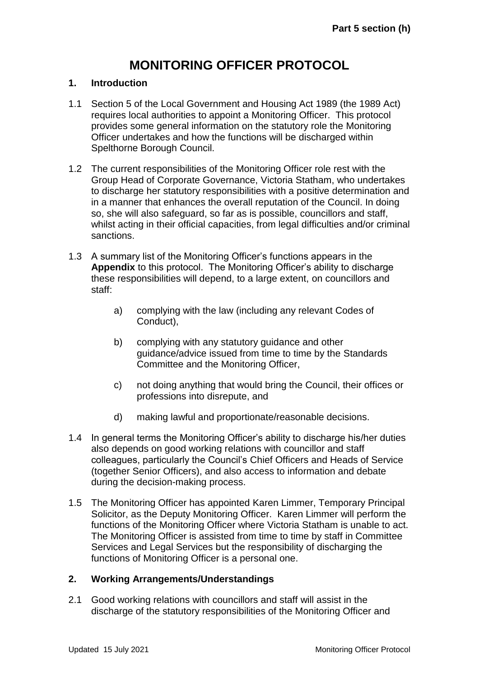# **MONITORING OFFICER PROTOCOL**

### **1. Introduction**

- 1.1 Section 5 of the Local Government and Housing Act 1989 (the 1989 Act) requires local authorities to appoint a Monitoring Officer. This protocol provides some general information on the statutory role the Monitoring Officer undertakes and how the functions will be discharged within Spelthorne Borough Council.
- 1.2 The current responsibilities of the Monitoring Officer role rest with the Group Head of Corporate Governance, Victoria Statham, who undertakes to discharge her statutory responsibilities with a positive determination and in a manner that enhances the overall reputation of the Council. In doing so, she will also safeguard, so far as is possible, councillors and staff, whilst acting in their official capacities, from legal difficulties and/or criminal sanctions.
- 1.3 A summary list of the Monitoring Officer's functions appears in the **Appendix** to this protocol. The Monitoring Officer's ability to discharge these responsibilities will depend, to a large extent, on councillors and staff:
	- a) complying with the law (including any relevant Codes of Conduct),
	- b) complying with any statutory guidance and other guidance/advice issued from time to time by the Standards Committee and the Monitoring Officer,
	- c) not doing anything that would bring the Council, their offices or professions into disrepute, and
	- d) making lawful and proportionate/reasonable decisions.
- 1.4 In general terms the Monitoring Officer's ability to discharge his/her duties also depends on good working relations with councillor and staff colleagues, particularly the Council's Chief Officers and Heads of Service (together Senior Officers), and also access to information and debate during the decision-making process.
- 1.5 The Monitoring Officer has appointed Karen Limmer, Temporary Principal Solicitor, as the Deputy Monitoring Officer. Karen Limmer will perform the functions of the Monitoring Officer where Victoria Statham is unable to act. The Monitoring Officer is assisted from time to time by staff in Committee Services and Legal Services but the responsibility of discharging the functions of Monitoring Officer is a personal one.

### **2. Working Arrangements/Understandings**

2.1 Good working relations with councillors and staff will assist in the discharge of the statutory responsibilities of the Monitoring Officer and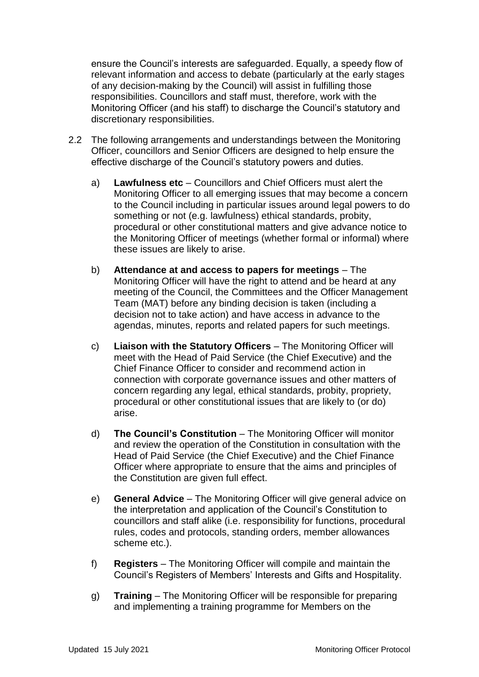ensure the Council's interests are safeguarded. Equally, a speedy flow of relevant information and access to debate (particularly at the early stages of any decision-making by the Council) will assist in fulfilling those responsibilities. Councillors and staff must, therefore, work with the Monitoring Officer (and his staff) to discharge the Council's statutory and discretionary responsibilities.

- 2.2 The following arrangements and understandings between the Monitoring Officer, councillors and Senior Officers are designed to help ensure the effective discharge of the Council's statutory powers and duties.
	- a) **Lawfulness etc** Councillors and Chief Officers must alert the Monitoring Officer to all emerging issues that may become a concern to the Council including in particular issues around legal powers to do something or not (e.g. lawfulness) ethical standards, probity, procedural or other constitutional matters and give advance notice to the Monitoring Officer of meetings (whether formal or informal) where these issues are likely to arise.
	- b) **Attendance at and access to papers for meetings** The Monitoring Officer will have the right to attend and be heard at any meeting of the Council, the Committees and the Officer Management Team (MAT) before any binding decision is taken (including a decision not to take action) and have access in advance to the agendas, minutes, reports and related papers for such meetings.
	- c) **Liaison with the Statutory Officers** The Monitoring Officer will meet with the Head of Paid Service (the Chief Executive) and the Chief Finance Officer to consider and recommend action in connection with corporate governance issues and other matters of concern regarding any legal, ethical standards, probity, propriety, procedural or other constitutional issues that are likely to (or do) arise.
	- d) **The Council's Constitution** The Monitoring Officer will monitor and review the operation of the Constitution in consultation with the Head of Paid Service (the Chief Executive) and the Chief Finance Officer where appropriate to ensure that the aims and principles of the Constitution are given full effect.
	- e) **General Advice** The Monitoring Officer will give general advice on the interpretation and application of the Council's Constitution to councillors and staff alike (i.e. responsibility for functions, procedural rules, codes and protocols, standing orders, member allowances scheme etc.).
	- f) **Registers** The Monitoring Officer will compile and maintain the Council's Registers of Members' Interests and Gifts and Hospitality.
	- g) **Training** The Monitoring Officer will be responsible for preparing and implementing a training programme for Members on the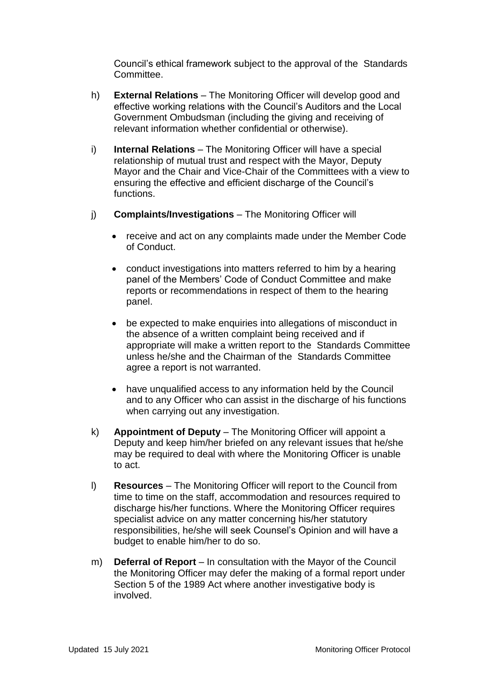Council's ethical framework subject to the approval of the Standards Committee.

- h) **External Relations** The Monitoring Officer will develop good and effective working relations with the Council's Auditors and the Local Government Ombudsman (including the giving and receiving of relevant information whether confidential or otherwise).
- i) **Internal Relations** The Monitoring Officer will have a special relationship of mutual trust and respect with the Mayor, Deputy Mayor and the Chair and Vice-Chair of the Committees with a view to ensuring the effective and efficient discharge of the Council's functions.
- j) **Complaints/Investigations** The Monitoring Officer will
	- receive and act on any complaints made under the Member Code of Conduct.
	- conduct investigations into matters referred to him by a hearing panel of the Members' Code of Conduct Committee and make reports or recommendations in respect of them to the hearing panel.
	- be expected to make enquiries into allegations of misconduct in the absence of a written complaint being received and if appropriate will make a written report to the Standards Committee unless he/she and the Chairman of the Standards Committee agree a report is not warranted.
	- have unqualified access to any information held by the Council and to any Officer who can assist in the discharge of his functions when carrying out any investigation.
- k) **Appointment of Deputy** The Monitoring Officer will appoint a Deputy and keep him/her briefed on any relevant issues that he/she may be required to deal with where the Monitoring Officer is unable to act.
- l) **Resources** The Monitoring Officer will report to the Council from time to time on the staff, accommodation and resources required to discharge his/her functions. Where the Monitoring Officer requires specialist advice on any matter concerning his/her statutory responsibilities, he/she will seek Counsel's Opinion and will have a budget to enable him/her to do so.
- m) **Deferral of Report** In consultation with the Mayor of the Council the Monitoring Officer may defer the making of a formal report under Section 5 of the 1989 Act where another investigative body is involved.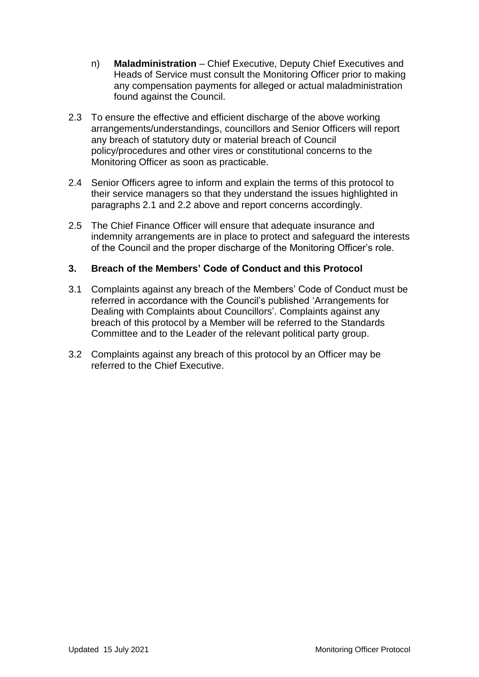- n) **Maladministration** Chief Executive, Deputy Chief Executives and Heads of Service must consult the Monitoring Officer prior to making any compensation payments for alleged or actual maladministration found against the Council.
- 2.3 To ensure the effective and efficient discharge of the above working arrangements/understandings, councillors and Senior Officers will report any breach of statutory duty or material breach of Council policy/procedures and other vires or constitutional concerns to the Monitoring Officer as soon as practicable.
- 2.4 Senior Officers agree to inform and explain the terms of this protocol to their service managers so that they understand the issues highlighted in paragraphs 2.1 and 2.2 above and report concerns accordingly.
- 2.5 The Chief Finance Officer will ensure that adequate insurance and indemnity arrangements are in place to protect and safeguard the interests of the Council and the proper discharge of the Monitoring Officer's role.

### **3. Breach of the Members' Code of Conduct and this Protocol**

- 3.1 Complaints against any breach of the Members' Code of Conduct must be referred in accordance with the Council's published 'Arrangements for Dealing with Complaints about Councillors'. Complaints against any breach of this protocol by a Member will be referred to the Standards Committee and to the Leader of the relevant political party group.
- 3.2 Complaints against any breach of this protocol by an Officer may be referred to the Chief Executive.